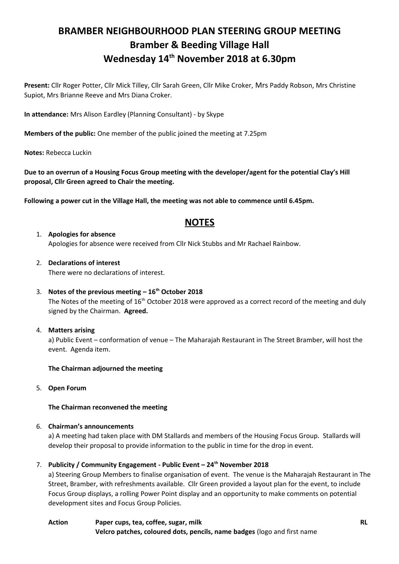# **BRAMBER NEIGHBOURHOOD PLAN STEERING GROUP MEETING Bramber & Beeding Village Hall Wednesday 14th November 2018 at 6.30pm**

**Present:** Cllr Roger Potter, Cllr Mick Tilley, Cllr Sarah Green, Cllr Mike Croker, Mrs Paddy Robson, Mrs Christine Supiot, Mrs Brianne Reeve and Mrs Diana Croker.

**In attendance:** Mrs Alison Eardley (Planning Consultant) - by Skype

**Members of the public:** One member of the public joined the meeting at 7.25pm

**Notes:** Rebecca Luckin

**Due to an overrun of a Housing Focus Group meeting with the developer/agent for the potential Clay's Hill proposal, Cllr Green agreed to Chair the meeting.**

**Following a power cut in the Village Hall, the meeting was not able to commence until 6.45pm.**

# **NOTES**

- 1. **Apologies for absence** Apologies for absence were received from Cllr Nick Stubbs and Mr Rachael Rainbow.
- 2. **Declarations of interest** There were no declarations of interest.
- 3. **Notes of the previous meeting 16th October 2018**

The Notes of the meeting of  $16<sup>th</sup>$  October 2018 were approved as a correct record of the meeting and duly signed by the Chairman. **Agreed.**

4. **Matters arising**

a) Public Event – conformation of venue – The Maharajah Restaurant in The Street Bramber, will host the event. Agenda item.

# **The Chairman adjourned the meeting**

5. **Open Forum**

# **The Chairman reconvened the meeting**

# 6. **Chairman's announcements**

a) A meeting had taken place with DM Stallards and members of the Housing Focus Group. Stallards will develop their proposal to provide information to the public in time for the drop in event.

# 7. **Publicity / Community Engagement - Public Event – 24th November 2018**

a) Steering Group Members to finalise organisation of event. The venue is the Maharajah Restaurant in The Street, Bramber, with refreshments available. Cllr Green provided a layout plan for the event, to include Focus Group displays, a rolling Power Point display and an opportunity to make comments on potential development sites and Focus Group Policies.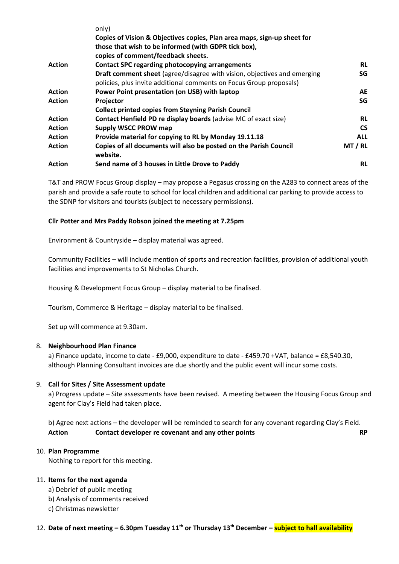|               | only)                                                                         |            |
|---------------|-------------------------------------------------------------------------------|------------|
|               | Copies of Vision & Objectives copies, Plan area maps, sign-up sheet for       |            |
|               | those that wish to be informed (with GDPR tick box),                          |            |
|               | copies of comment/feedback sheets.                                            |            |
| <b>Action</b> | <b>Contact SPC regarding photocopying arrangements</b>                        | <b>RL</b>  |
|               | Draft comment sheet (agree/disagree with vision, objectives and emerging      | SG         |
|               | policies, plus invite additional comments on Focus Group proposals)           |            |
| <b>Action</b> | Power Point presentation (on USB) with laptop                                 | AE         |
| <b>Action</b> | Projector                                                                     | SG         |
|               | <b>Collect printed copies from Steyning Parish Council</b>                    |            |
| <b>Action</b> | <b>Contact Henfield PD re display boards (advise MC of exact size)</b>        | <b>RL</b>  |
| <b>Action</b> | <b>Supply WSCC PROW map</b>                                                   | <b>CS</b>  |
| <b>Action</b> | Provide material for copying to RL by Monday 19.11.18                         | <b>ALL</b> |
| <b>Action</b> | Copies of all documents will also be posted on the Parish Council<br>website. | MT / RL    |
| <b>Action</b> | Send name of 3 houses in Little Drove to Paddy                                | <b>RL</b>  |

T&T and PROW Focus Group display – may propose a Pegasus crossing on the A283 to connect areas of the parish and provide a safe route to school for local children and additional car parking to provide access to the SDNP for visitors and tourists (subject to necessary permissions).

# **Cllr Potter and Mrs Paddy Robson joined the meeting at 7.25pm**

Environment & Countryside – display material was agreed.

Community Facilities – will include mention of sports and recreation facilities, provision of additional youth facilities and improvements to St Nicholas Church.

Housing & Development Focus Group – display material to be finalised.

Tourism, Commerce & Heritage – display material to be finalised.

Set up will commence at 9.30am.

# 8. **Neighbourhood Plan Finance**

a) Finance update, income to date - £9,000, expenditure to date - £459.70 +VAT, balance = £8,540.30, although Planning Consultant invoices are due shortly and the public event will incur some costs.

# 9. **Call for Sites / Site Assessment update**

a) Progress update – Site assessments have been revised. A meeting between the Housing Focus Group and agent for Clay's Field had taken place.

b) Agree next actions – the developer will be reminded to search for any covenant regarding Clay's Field. **Action Contact developer re covenant and any other points RP**

# 10. **Plan Programme**

Nothing to report for this meeting.

# 11. **Items for the next agenda**

- a) Debrief of public meeting
- b) Analysis of comments received
- c) Christmas newsletter

# 12. **Date of next meeting – 6.30pm Tuesday 11th or Thursday 13th December – subject to hall availability**